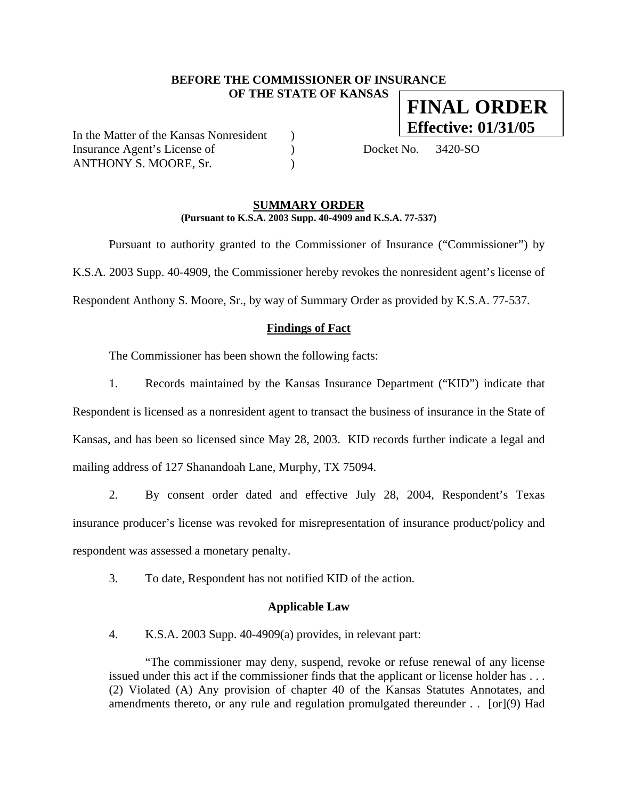# **BEFORE THE COMMISSIONER OF INSURANCE OF THE STATE OF KANSAS FINAL ORDER**

In the Matter of the Kansas Nonresident ) Insurance Agent's License of (a) Docket No. 3420-SO ANTHONY S. MOORE, Sr.

**Effective: 01/31/05**

#### **SUMMARY ORDER (Pursuant to K.S.A. 2003 Supp. 40-4909 and K.S.A. 77-537)**

 Pursuant to authority granted to the Commissioner of Insurance ("Commissioner") by K.S.A. 2003 Supp. 40-4909, the Commissioner hereby revokes the nonresident agent's license of Respondent Anthony S. Moore, Sr., by way of Summary Order as provided by K.S.A. 77-537.

### **Findings of Fact**

The Commissioner has been shown the following facts:

1. Records maintained by the Kansas Insurance Department ("KID") indicate that Respondent is licensed as a nonresident agent to transact the business of insurance in the State of Kansas, and has been so licensed since May 28, 2003. KID records further indicate a legal and mailing address of 127 Shanandoah Lane, Murphy, TX 75094.

2. By consent order dated and effective July 28, 2004, Respondent's Texas insurance producer's license was revoked for misrepresentation of insurance product/policy and respondent was assessed a monetary penalty.

3. To date, Respondent has not notified KID of the action.

#### **Applicable Law**

4. K.S.A. 2003 Supp. 40-4909(a) provides, in relevant part:

"The commissioner may deny, suspend, revoke or refuse renewal of any license issued under this act if the commissioner finds that the applicant or license holder has . . . (2) Violated (A) Any provision of chapter 40 of the Kansas Statutes Annotates, and amendments thereto, or any rule and regulation promulgated thereunder . . [or](9) Had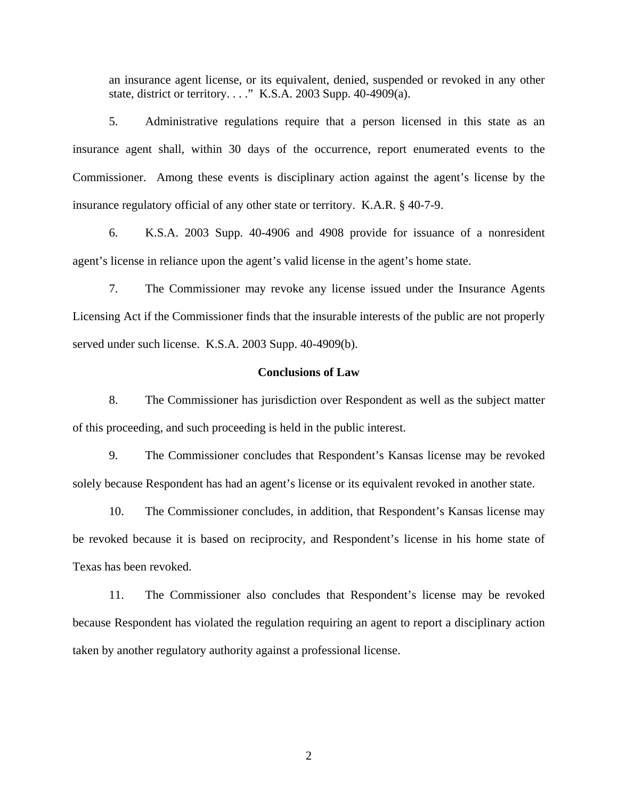an insurance agent license, or its equivalent, denied, suspended or revoked in any other state, district or territory. . . ." K.S.A. 2003 Supp. 40-4909(a).

5. Administrative regulations require that a person licensed in this state as an insurance agent shall, within 30 days of the occurrence, report enumerated events to the Commissioner. Among these events is disciplinary action against the agent's license by the insurance regulatory official of any other state or territory. K.A.R. § 40-7-9.

6. K.S.A. 2003 Supp. 40-4906 and 4908 provide for issuance of a nonresident agent's license in reliance upon the agent's valid license in the agent's home state.

7. The Commissioner may revoke any license issued under the Insurance Agents Licensing Act if the Commissioner finds that the insurable interests of the public are not properly served under such license. K.S.A. 2003 Supp. 40-4909(b).

### **Conclusions of Law**

8. The Commissioner has jurisdiction over Respondent as well as the subject matter of this proceeding, and such proceeding is held in the public interest.

9. The Commissioner concludes that Respondent's Kansas license may be revoked solely because Respondent has had an agent's license or its equivalent revoked in another state.

10. The Commissioner concludes, in addition, that Respondent's Kansas license may be revoked because it is based on reciprocity, and Respondent's license in his home state of Texas has been revoked.

11. The Commissioner also concludes that Respondent's license may be revoked because Respondent has violated the regulation requiring an agent to report a disciplinary action taken by another regulatory authority against a professional license.

2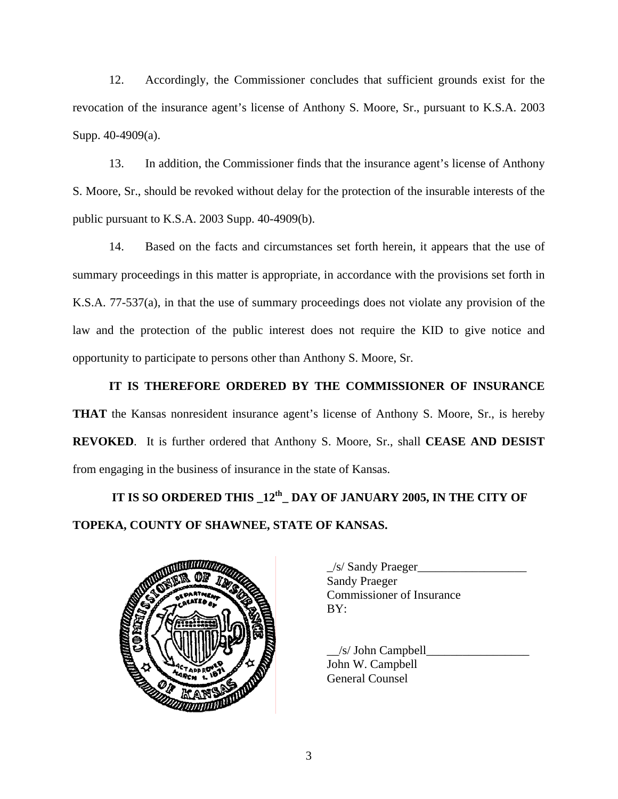12. Accordingly, the Commissioner concludes that sufficient grounds exist for the revocation of the insurance agent's license of Anthony S. Moore, Sr., pursuant to K.S.A. 2003 Supp. 40-4909(a).

13. In addition, the Commissioner finds that the insurance agent's license of Anthony S. Moore, Sr., should be revoked without delay for the protection of the insurable interests of the public pursuant to K.S.A. 2003 Supp. 40-4909(b).

14. Based on the facts and circumstances set forth herein, it appears that the use of summary proceedings in this matter is appropriate, in accordance with the provisions set forth in K.S.A. 77-537(a), in that the use of summary proceedings does not violate any provision of the law and the protection of the public interest does not require the KID to give notice and opportunity to participate to persons other than Anthony S. Moore, Sr.

**IT IS THEREFORE ORDERED BY THE COMMISSIONER OF INSURANCE THAT** the Kansas nonresident insurance agent's license of Anthony S. Moore, Sr., is hereby **REVOKED**. It is further ordered that Anthony S. Moore, Sr., shall **CEASE AND DESIST** from engaging in the business of insurance in the state of Kansas.

 **IT IS SO ORDERED THIS \_12th\_ DAY OF JANUARY 2005, IN THE CITY OF TOPEKA, COUNTY OF SHAWNEE, STATE OF KANSAS.** 



| $\angle$ s/ Sandy Praeger        |  |
|----------------------------------|--|
| <b>Sandy Praeger</b>             |  |
| <b>Commissioner of Insurance</b> |  |
| BY:                              |  |
|                                  |  |

 $/s/$  John Campbell John W. Campbell General Counsel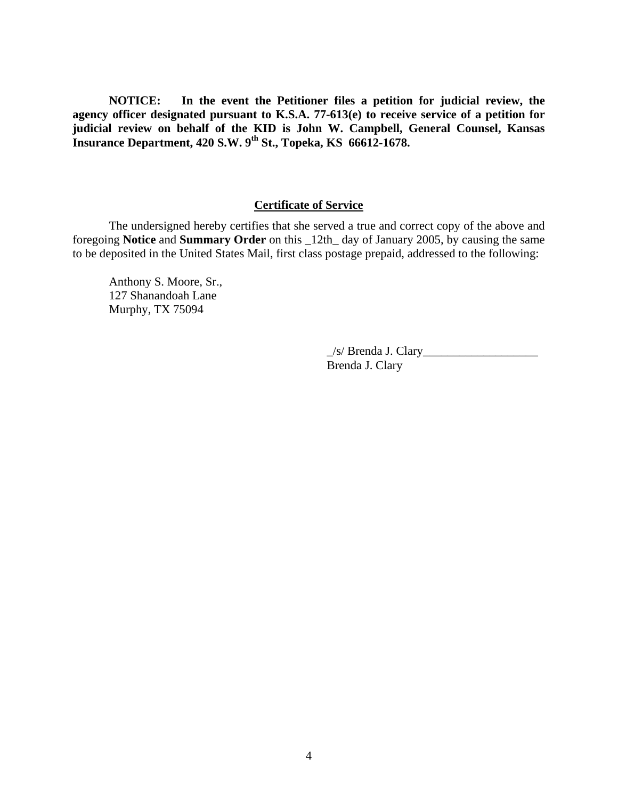**NOTICE: In the event the Petitioner files a petition for judicial review, the agency officer designated pursuant to K.S.A. 77-613(e) to receive service of a petition for judicial review on behalf of the KID is John W. Campbell, General Counsel, Kansas Insurance Department, 420 S.W. 9th St., Topeka, KS 66612-1678.** 

# **Certificate of Service**

 The undersigned hereby certifies that she served a true and correct copy of the above and foregoing **Notice** and **Summary Order** on this \_12th\_ day of January 2005, by causing the same to be deposited in the United States Mail, first class postage prepaid, addressed to the following:

 Anthony S. Moore, Sr., 127 Shanandoah Lane Murphy, TX 75094

> \_/s/ Brenda J. Clary\_\_\_\_\_\_\_\_\_\_\_\_\_\_\_\_\_\_\_ Brenda J. Clary